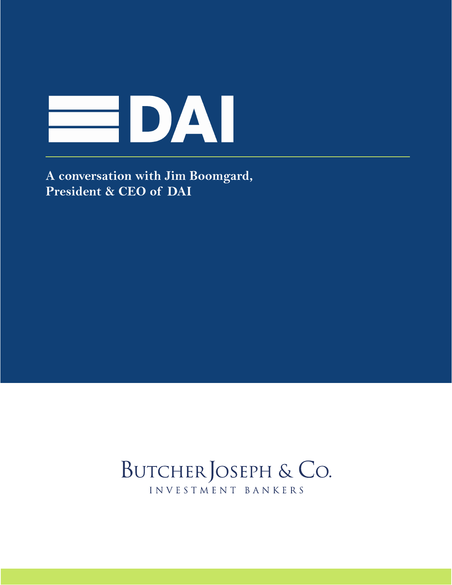

**A conversation with Jim Boomgard, President & CEO of [DAI](http://bit.ly/2LItBOF)**

## BUTCHER JOSEPH & CO. INVESTMENT BANKERS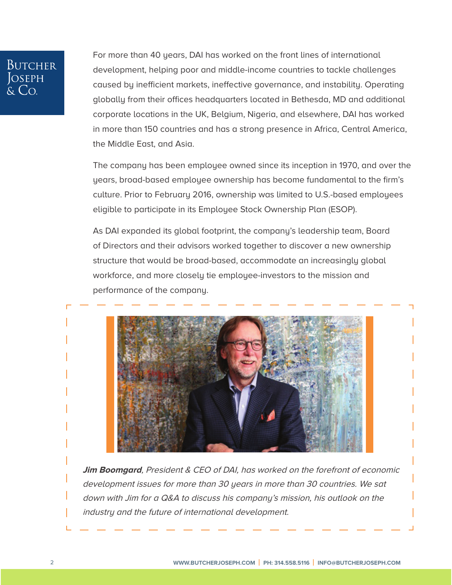# **BUTCHER** OSEPH

For more than 40 years, [DAI](http://bit.ly/2LItBOF) has worked on the front lines of international development, helping poor and middle-income countries to tackle challenges caused by inefficient markets, ineffective governance, and instability. Operating globally from their offices headquarters located in Bethesda, MD and additional corporate locations in the UK, Belgium, Nigeria, and elsewhere, [DAI](http://bit.ly/2LItBOF) has worked in more than 150 countries and has a strong presence in Africa, Central America, the Middle East, and Asia.

The company has been employee owned since its inception in 1970, and over the years, broad-based employee ownership has become fundamental to the firm's culture. Prior to February 2016, ownership was limited to U.S.-based employees eligible to participate in its [Employee Stock Ownership Plan](http://bit.ly/30WlZvO) (ESOP).

As DAI expanded its global footprint, the company's leadership team, Board of Directors and their advisors worked together to discover a new ownership structure that would be broad-based, accommodate an increasingly global workforce, and more closely tie employee-investors to the mission and performance of the company.



**Jim Boomgard**, President & CEO of [DAI,](http://bit.ly/2LItBOF) has worked on the forefront of economic development issues for more than 30 years in more than 30 countries. We sat down with Jim for a Q&A to discuss his company's mission, his outlook on the industry and the future of international development.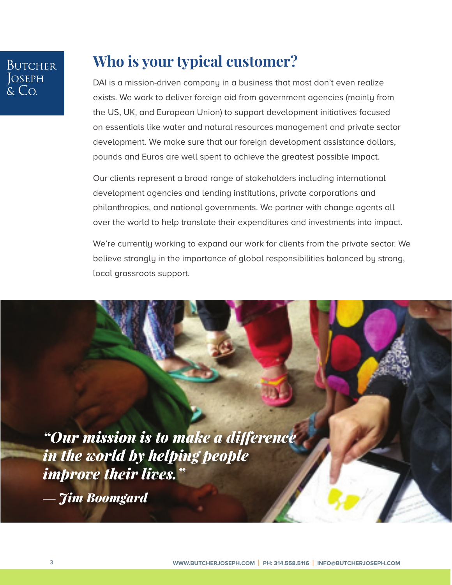## **Who is your typical customer?**

[DAI](http://bit.ly/2LItBOF) is a mission-driven company in a business that most don't even realize exists. We work to deliver foreign aid from government agencies (mainly from the US, UK, and European Union) to support development initiatives focused on essentials like water and natural resources management and private sector development. We make sure that our foreign development assistance dollars, pounds and Euros are well spent to achieve the greatest possible impact.

Our clients represent a broad range of stakeholders including international development agencies and lending institutions, private corporations and philanthropies, and national governments. We partner with change agents all over the world to help translate their expenditures and investments into impact.

We're currently working to expand our work for clients from the private sector. We believe strongly in the importance of global responsibilities balanced by strong, local grassroots support.

*"Our mission is to make a difference in the world by helping people improve their lives."*

— *Jim Boomgard*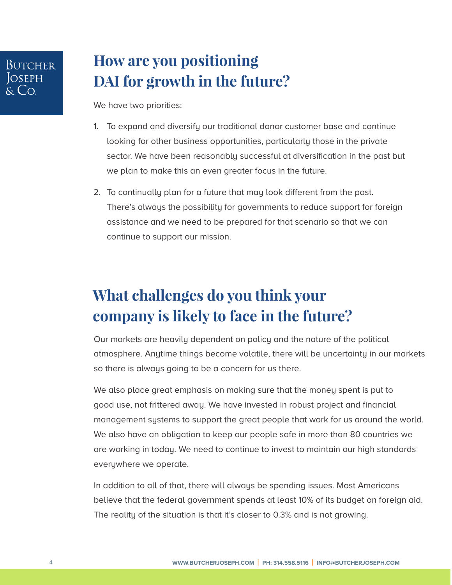### **How are you positioning DAI for growth in the future?**

We have two priorities:

- 1. To expand and diversify our traditional donor customer base and continue looking for other business opportunities, particularly those in the private sector. We have been reasonably successful at diversification in the past but we plan to make this an even greater focus in the future.
- 2. To continually plan for a future that may look different from the past. There's always the possibility for governments to reduce support for foreign assistance and we need to be prepared for that scenario so that we can continue to support our mission.

## **What challenges do you think your company is likely to face in the future?**

Our markets are heavily dependent on policy and the nature of the political atmosphere. Anytime things become volatile, there will be uncertainty in our markets so there is always going to be a concern for us there.

We also place great emphasis on making sure that the money spent is put to good use, not frittered away. We have invested in robust project and financial management systems to support the great people that work for us around the world. We also have an obligation to keep our people safe in more than 80 countries we are working in today. We need to continue to invest to maintain our high standards everywhere we operate.

In addition to all of that, there will always be spending issues. Most Americans believe that the federal government spends at least 10% of its budget on foreign aid. The reality of the situation is that it's closer to 0.3% and is not growing.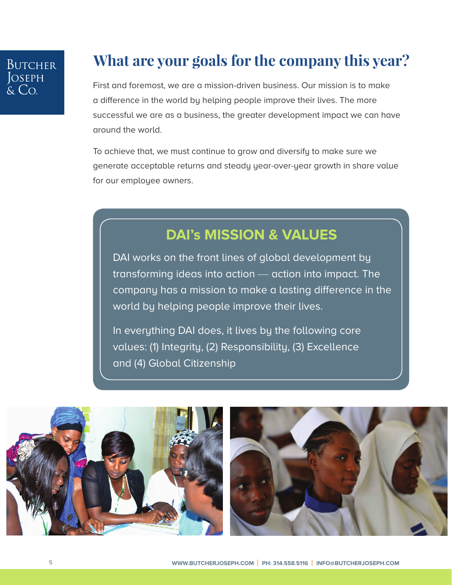#### **What are your goals for the company this year?**

First and foremost, we are a mission-driven business. Our mission is to make a difference in the world by helping people improve their lives. The more successful we are as a business, the greater development impact we can have around the world.

To achieve that, we must continue to grow and diversify to make sure we generate acceptable returns and steady year-over-year growth in share value for our employee owners.

#### **[DAI's](http://bit.ly/2LItBOF) MISSION & VALUES**

[DAI](http://bit.ly/2LItBOF) works on the front lines of global development by transforming ideas into action — action into impact. The company has a mission to make a lasting difference in the world by helping people improve their lives.

In everything [DAI](http://bit.ly/2LItBOF) does, it lives by the following core values: (1) Integrity, (2) Responsibility, (3) Excellence and (4) Global Citizenship